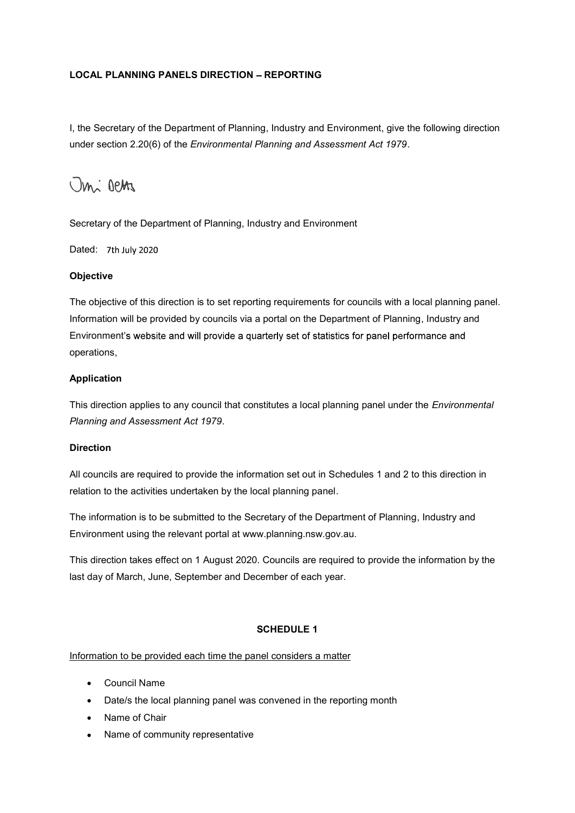## LOCAL PLANNING PANELS DIRECTION - REPORTING

**LOCAL PLANNING PANELS DIRECTION – REPORTING**<br>I, the Secretary of the Department of Planning, Industry and Environment, give the following direction<br>under section 2.20(6) of the *Environmental Planning and Assessment Act* LOCAL PLANNING PANELS DIRECTION – REPORTING<br>I, the Secretary of the Department of Planning, Industry and Environment, give the following direction<br>under section 2.20(6) of the *Environmental Planning and Assessment Act 19* 

Dated: 7th July 2020

### **Objective**

LOCAL PLANNING PANELS DIRECTION – REPORTING<br>
I, the Secretary of the Department of Planning, Industry and Environment, give the following direction<br>
under section 2.20(6) of the *Environmental Planning and Assessment Act* Information will be provided by councils via a portal on the Department of Planning, Industry and Environment's website and will provide a quarterly set of statistics for panel performance and operations, Secretary of the Department of Planning, industry and Environment<br>
Dated: 7th July 2020<br> **Objective**<br>
The objective of this direction is to set reporting requirements for councils with a local planning panel.<br>
Information **Objective**<br>The objective of this direction is to set reporting requirements for councils with a local planning panel.<br>Information will be provided by councils via a portal on the Department of Planning, Industry and<br>Envir Information will be provided by councils via a portal on the Department of Planning, Industry and<br>Environment's website and will provide a quarterly set of statistics for panel performance and<br>operations,<br>**Application**<br>Thi

### Application

This direction applies to any council that constitutes a local planning panel under the *Environmental* Planning and Assessment Act 1979.

### **Direction**

relation to the activities undertaken by the local planning panel.

Environment using the relevant portal at www.planning.nsw.gov.au.

last day of March, June, September and December of each year. Ins direction applies to any council that constitutes a local planning panel under the *Environmental*<br>Planning and Assessment Act 1979.<br>Direction<br>All councils are required to provide the information set out in Schedules 1 m<br>cils are required to provide the information set out in Schedules 1 and 2 to this direction in<br>to the activities undertaken by the local planning panel.<br>The local planning panel.<br>The local planning months of Planning, in cils are required to provide the information set out in Schedules 1 and 2 to this di<br>to the activities undertaken by the local planning panel.<br>Tration is to be submitted to the Secretary of the Department of Planning, Indu to the activities undertaken by the local planning panel.<br>
Irmation is to be submitted to the Secretary of the Department of Planning, Indust<br>
ment using the relevant portal at www.planning.nsw.gov.au.<br>
Ection takes effect

# SCHEDULE 1

- Council Name
- 
- 
- $\bullet$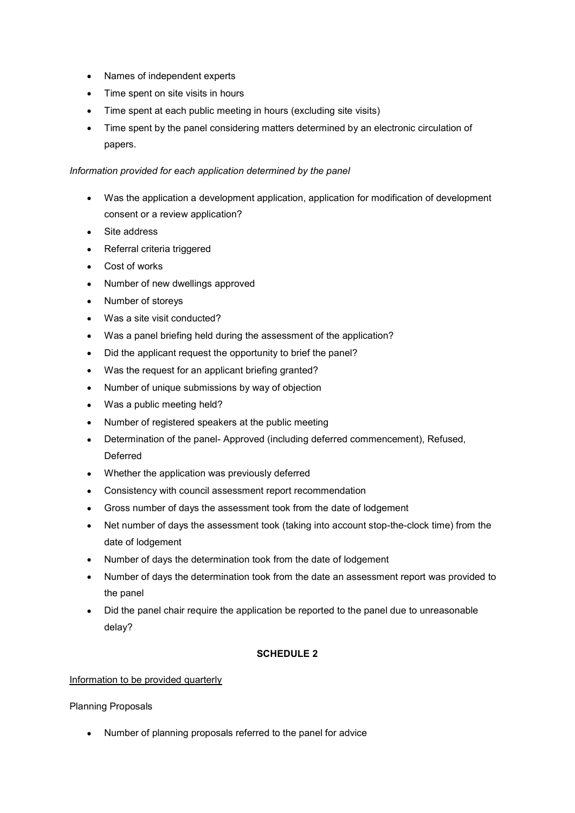- Names of independent experts
- Time spent on site visits in hours
- Time spent at each public meeting in hours (excluding site visits)
- Time spent by the panel considering matters determined by an electronic circulation of papers.

#### Information provided for each application determined by the panel

- Was the application a development application, application for modification of development consent or a review application?
- Site address
- Referral criteria triggered
- Cost of works
- Number of new dwellings approved
- Number of storeys
- Was a site visit conducted?
- Was a panel briefing held during the assessment of the application?
- Did the applicant request the opportunity to brief the panel?
- Was the request for an applicant briefing granted?
- Number of unique submissions by way of objection
- Was a public meeting held?
- Number of registered speakers at the public meeting
- Determination of the panel- Approved (including deferred commencement), Refused, Deferred
- Whether the application was previously deferred
- Consistency with council assessment report recommendation
- Gross number of days the assessment took from the date of lodgement
- Net number of days the assessment took (taking into account stop-the-clock time) from the date of lodgement
- Number of days the determination took from the date of lodgement
- Number of days the determination took from the date an assessment report was provided to the panel
- Did the panel chair require the application be reported to the panel due to unreasonable delay?

### SCHEDULE 2

### Information to be provided quarterly

Planning Proposals

Number of planning proposals referred to the panel for advice